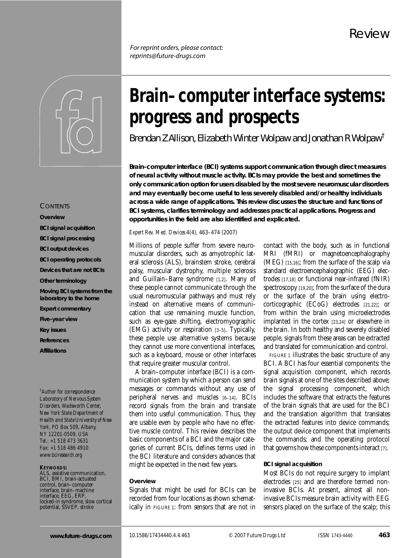*For reprint orders, please contact: reprints@future-drugs.com*



# **CONTENTS**

**Overview BCI signal acquisition BCI signal processing BCI output devices BCI operating protocols Devices that are not BCIs Other terminology Moving BCI systems from the laboratory to the home Expert commentary Five-year view Key issues References Affiliations**

*† Author for correspondence Laboratory of Nervous System Disorders, Wadsworth Center, New York State Department of Health and State University of New York, PO Box 509, Albany, NY 12201-0509, USA Tel.: +1 518 473 3631 Fax: +1 518 486 4910 www.bciresearch.org*

#### **KEYWORDS:**

ALS, assistive communication, BCI, BMI, brain-actuated control, brain–computer interface, brain–machine interface, EEG, ERP,<br>locked-in syndrome, slow cortical potential, SSVEP, stroke

# **Brain–computer interface systems: progress and prospects**

*Brendan Z Allison, Elizabeth Winter Wolpaw and Jonathan R Wolpaw†*

**Brain–computer interface (BCI) systems support communication through direct measures of neural activity without muscle activity. BCIs may provide the best and sometimes the only communication option for users disabled by the most severe neuromuscular disorders and may eventually become useful to less severely disabled and/or healthy individuals across a wide range of applications. This review discusses the structure and functions of BCI systems, clarifies terminology and addresses practical applications. Progress and opportunities in the field are also identified and explicated.**

#### *Expert Rev. Med. Devices* 4(4), 463–474 (2007)

Millions of people suffer from severe neuromuscular disorders, such as amyotrophic lateral sclerosis (ALS), brainstem stroke, cerebral palsy, muscular dystrophy, multiple sclerosis and Guillain–Barre syndrome [1,2]. Many of these people cannot communicate through the usual neuromuscular pathways and must rely instead on alternative means of communication that use remaining muscle function, such as eye-gaze shifting, electromyographic (EMG) activity or respiration [3–5]. Typically, these people use alternative systems because they cannot use more conventional interfaces, such as a keyboard, mouse or other interfaces that require greater muscular control.

A brain–computer interface (BCI) is a communication system by which a person can send messages or commands without any use of peripheral nerves and muscles [6–14]. BCIs record signals from the brain and translate them into useful communication. Thus, they are usable even by people who have no effective muscle control. This review describes the basic components of a BCI and the major categories of current BCIs, defines terms used in the BCI literature and considers advances that might be expected in the next few years.

## **Overview**

Signals that might be used for BCIs can be recorded from four locations as shown schematically in FIGURE 1: from sensors that are not in contact with the body, such as in functional MRI (fMRI) or magnetoencephalography (MEG) [15,16]; from the surface of the scalp via standard electroencephalographic (EEG) electrodes [17,18] or functional near-infrared (fNIR) spectroscopy [19,20]; from the surface of the dura or the surface of the brain using electrocorticographic (ECoG) electrodes [21,22]; or from within the brain using microelectrodes implanted in the cortex [23,24] or elsewhere in the brain. In both healthy and severely disabled people, signals from these areas can be extracted and translated for communication and control.

FIGURE 1 illustrates the basic structure of any BCI. A BCI has four essential components: the signal acquisition component, which records brain signals at one of the sites described above; the signal processing component, which includes the software that extracts the features of the brain signals that are used for the BCI and the translation algorithm that translates the extracted features into device commands; the output device component that implements the commands; and the operating protocol that governs how these components interact [7].

#### **BCI signal acquisition**

Most BCIs do not require surgery to implant electrodes [25] and are therefore termed noninvasive BCIs. At present, almost all noninvasive BCIs measure brain activity with EEG sensors placed on the surface of the scalp; this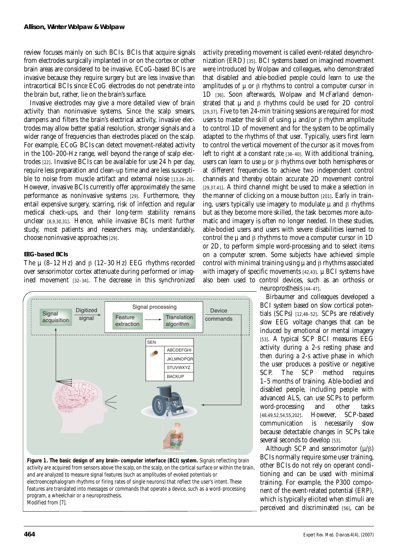review focuses mainly on such BCIs. BCIs that acquire signals from electrodes surgically implanted in or on the cortex or other brain areas are considered to be invasive. ECoG-based BCIs are invasive because they require surgery but are less invasive than intracortical BCIs since ECoG electrodes do not penetrate into the brain but, rather, lie on the brain's surface.

Invasive electrodes may give a more detailed view of brain activity than noninvasive systems. Since the scalp smears, dampens and filters the brain's electrical activity, invasive electrodes may allow better spatial resolution, stronger signals and a wider range of frequencies than electrodes placed on the scalp. For example, ECoG BCIs can detect movement-related activity in the 100–200-Hz range, well beyond the range of scalp electrodes [22]. Invasive BCIs can be available for use 24 h per day, require less preparation and clean-up time and are less susceptible to noise from muscle artifact and external noise [13,26-28]. However, invasive BCIs currently offer approximately the same performance as noninvasive systems [29]. Furthermore, they entail expensive surgery, scarring, risk of infection and regular medical check-ups, and their long-term stability remains unclear [8,9,30,31]. Hence, while invasive BCIs merit further study, most patients and researchers may, understandably, choose noninvasive approaches [29].

# *EEG-based BCIs*

The  $\mu$  (8-12 Hz) and β (12-30 Hz) EEG rhythms recorded over sensorimotor cortex attenuate during performed or imagined movement [32–34]. The decrease in this synchronized



**Figure 1. The basic design of any brain–computer interface (BCI) system.** Signals reflecting brain activity are acquired from sensors above the scalp, on the scalp, on the cortical surface or within the brain, and are analyzed to measure signal features (such as amplitudes of evoked potentials or electroencephalogram rhythms or firing rates of single neurons) that reflect the user's intent. These features are translated into messages or commands that operate a device, such as a word-processing program, a wheelchair or a neuroprosthesis. Modified from [7].

activity preceding movement is called event-related desynchronization (ERD) [35]. BCI systems based on imagined movement were introduced by Wolpaw and colleagues, who demonstrated that disabled and able-bodied people could learn to use the amplitudes of  $\mu$  or  $\beta$  rhythms to control a computer cursor in 1D [36]. Soon afterwards, Wolpaw and McFarland demonstrated that  $\mu$  and  $\beta$  rhythms could be used for 2D control [29,37]. Five to ten 24-min training sessions are required for most users to master the skill of using μ and/or β rhythm amplitude to control 1D of movement and for the system to be optimally adapted to the rhythms of that user. Typically, users first learn to control the vertical movement of the cursor as it moves from left to right at a constant rate [38–40]. With additional training, users can learn to use  $\mu$  or β rhythms over both hemispheres or at different frequencies to achieve two independent control channels and thereby obtain accurate 2D movement control [29,37,41]. A third channel might be used to make a selection in the manner of clicking on a mouse button [201]. Early in training, users typically use imagery to modulate  $\mu$  and  $\beta$  rhythms but as they become more skilled, the task becomes more automatic and imagery is often no longer needed. In these studies, able-bodied users and users with severe disabilities learned to control the  $\mu$  and  $\beta$  rhythms to move a computer cursor in 1D or 2D, to perform simple word-processing and to select items on a computer screen. Some subjects have achieved simple control with minimal training using  $\mu$  and  $\beta$  rhythms associated with imagery of specific movements [42,43]. µ BCI systems have also been used to control devices, such as an orthosis or neuroprosthesis [44–47].

> Birbaumer and colleagues developed a BCI system based on slow cortical potentials (SCPs) [12,48–52]. SCPs are relatively slow EEG voltage changes that can be induced by emotional or mental imagery [53]. A typical SCP BCI measures EEG activity during a 2-s resting phase and then during a 2-s active phase in which the user produces a positive or negative SCP. The SCP method requires 1–5 months of training. Able-bodied and disabled people, including people with advanced ALS, can use SCPs to perform word-processing and other tasks [48,49,52,54,55,202]. However, SCP-based communication is necessarily slow because detectable changes in SCPs take several seconds to develop [53].

> Although SCP and sensorimotor  $(\mu/\beta)$ BCIs normally require some user training, other BCIs do not rely on operant conditioning and can be used with minimal training. For example, the P300 component of the event-related potential (ERP), which is typically elicited when stimuli are perceived and discriminated [56], can be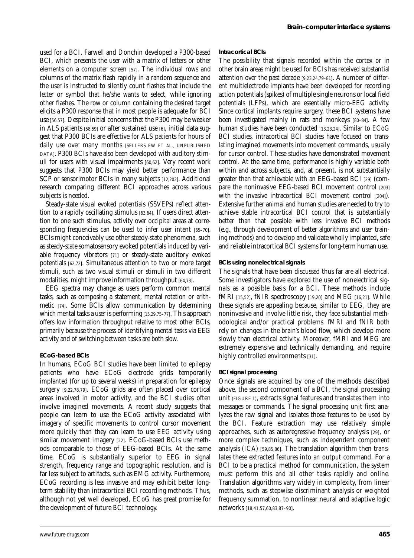used for a BCI. Farwell and Donchin developed a P300-based BCI, which presents the user with a matrix of letters or other elements on a computer screen [57]. The individual rows and columns of the matrix flash rapidly in a random sequence and the user is instructed to silently count flashes that include the letter or symbol that he/she wants to select, while ignoring other flashes. The row or column containing the desired target elicits a P300 response that in most people is adequate for BCI use [56,57]. Despite initial concerns that the P300 may be weaker in ALS patients [58,59] or after sustained use [6], initial data suggest that P300 BCIs are effective for ALS patients for hours of daily use over many months [SELLERS EW *ET AL*., UNPUBLISHED DATA]. P300 BCIs have also been developed with auditory stimuli for users with visual impairments [60,62]. Very recent work suggests that P300 BCIs may yield better performance than SCP or sensorimotor BCIs in many subjects [12,202]. Additional research comparing different BCI approaches across various subjects is needed.

Steady-state visual evoked potentials (SSVEPs) reflect attention to a rapidly oscillating stimulus [63,64]. If users direct attention to one such stimulus, activity over occipital areas at corresponding frequencies can be used to infer user intent [65–70]. BCIs might conceivably use other steady-state phenomena, such as steady-state somatosensory evoked potentials induced by variable frequency vibrators [71] or steady-state auditory evoked potentials [62,72]. Simultaneous attention to two or more target stimuli, such as two visual stimuli or stimuli in two different modalities, might improve information throughput [64,73].

EEG spectra may change as users perform common mental tasks, such as composing a statement, mental rotation or arithmetic [74]. Some BCIs allow communication by determining which mental tasks a user is performing [15,29,75-77]. This approach offers low information throughput relative to most other BCIs, primarily because the process of identifying mental tasks via EEG activity and of switching between tasks are both slow.

# *ECoG-based BCIs*

In humans, ECoG BCI studies have been limited to epilepsy patients who have ECoG electrode grids temporarily implanted (for up to several weeks) in preparation for epilepsy surgery [9,22,78,79]. ECoG grids are often placed over cortical areas involved in motor activity, and the BCI studies often involve imagined movements. A recent study suggests that people can learn to use the ECoG activity associated with imagery of specific movements to control cursor movement more quickly than they can learn to use EEG activity using similar movement imagery [22]. ECoG-based BCIs use methods comparable to those of EEG-based BCIs. At the same time, ECoG is substantially superior to EEG in signal strength, frequency range and topographic resolution, and is far less subject to artifacts, such as EMG activity. Furthermore, ECoG recording is less invasive and may exhibit better longterm stability than intracortical BCI recording methods. Thus, although not yet well developed, ECoG has great promise for the development of future BCI technology.

## *Intracortical BCIs*

The possibility that signals recorded within the cortex or in other brain areas might be used for BCIs has received substantial attention over the past decade [9,23,24,79–81]. A number of different multielectrode implants have been developed for recording action potentials (spikes) of multiple single neurons or local field potentials (LFPs), which are essentially micro-EEG activity. Since cortical implants require surgery, these BCI systems have been investigated mainly in rats and monkeys [80–84]. A few human studies have been conducted [13,23,24]. Similar to ECoG BCI studies, intracortical BCI studies have focused on translating imagined movements into movement commands, usually for cursor control. These studies have demonstrated movement control. At the same time, performance is highly variable both within and across subjects, and, at present, is not substantially greater than that achievable with an EEG-based BCI [29] (compare the noninvasive EEG-based BCI movement control [203] with the invasive intracortical BCI movement control [2041]. Extensive further animal and human studies are needed to try to achieve stable intracortical BCI control that is substantially better than that possible with less invasive BCI methods (e.g., through development of better algorithms and user training methods) and to develop and validate wholly implanted, safe and reliable intracortical BCI systems for long-term human use.

# *BCIs using nonelectrical signals*

The signals that have been discussed thus far are all electrical. Some investigators have explored the use of nonelectrical signals as a possible basis for a BCI. These methods include fMRI [15,52], fNIR spectroscopy [19,20] and MEG [16,21]. While these signals are appealing because, similar to EEG, they are noninvasive and involve little risk, they face substantial methodological and/or practical problems. fMRI and fNIR both rely on changes in the brain's blood flow, which develop more slowly than electrical activity. Moreover, fMRI and MEG are extremely expensive and technically demanding, and require highly controlled environments [31].

# **BCI signal processing**

Once signals are acquired by one of the methods described above, the second component of a BCI, the signal processing unit (FIGURE 1), extracts signal features and translates them into messages or commands. The signal processing unit first analyzes the raw signal and isolates those features to be used by the BCI. Feature extraction may use relatively simple approaches, such as autoregressive frequency analysis [29], or more complex techniques, such as independent component analysis (ICA) [59,85,86]. The translation algorithm then translates these extracted features into an output command. For a BCI to be a practical method for communication, the system must perform this and all other tasks rapidly and online. Translation algorithms vary widely in complexity, from linear methods, such as stepwise discriminant analysis or weighted frequency summation, to nonlinear neural and adaptive logic networks [18,41,57,60,83,87–90].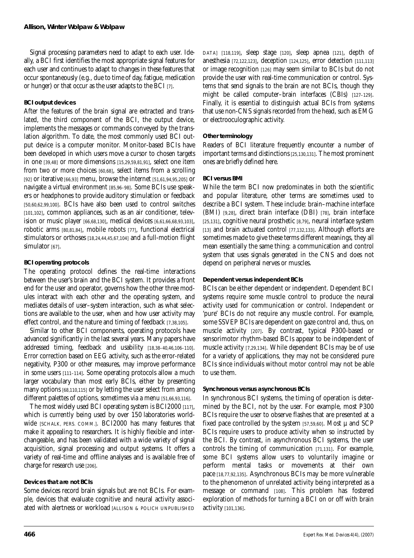Signal processing parameters need to adapt to each user. Ideally, a BCI first identifies the most appropriate signal features for each user and continues to adapt to changes in these features that occur spontaneously (e.g., due to time of day, fatigue, medication or hunger) or that occur as the user adapts to the BCI [7].

## **BCI output devices**

After the features of the brain signal are extracted and translated, the third component of the BCI, the output device, implements the messages or commands conveyed by the translation algorithm. To date, the most commonly used BCI output device is a computer monitor. Monitor-based BCIs have been developed in which users move a cursor to chosen targets in one [39,48] or more dimensions [15,29,59,81,91], select one item from two or more choices [60,68], select items from a scrolling [92] or iterative [66,93] menu, browse the internet [51,61,94,95,205] or navigate a virtual environment [85,96–98]. Some BCIs use speakers or headphones to provide auditory stimulation or feedback [50,60,62,99,100]. BCIs have also been used to control switches [101,102], common appliances, such as an air conditioner, television or music player [66,68,130], medical devices [6,61,66,68,93,103], robotic arms [80,81,84], mobile robots [77], functional electrical stimulators or orthoses [18,24,44,45,67,104] and a full-motion flight simulator [67].

## **BCI operating protocols**

The operating protocol defines the real-time interactions between the user's brain and the BCI system. It provides a front end for the user and operator, governs how the other three modules interact with each other and the operating system, and mediates details of user–system interaction, such as what selections are available to the user, when and how user activity may effect control, and the nature and timing of feedback [7,38,105].

Similar to other BCI components, operating protocols have advanced significantly in the last several years. Many papers have addressed timing, feedback and usability [18,38–40,46,106–110]. Error correction based on EEG activity, such as the error-related negativity, P300 or other measures, may improve performance in some users [111–114]. Some operating protocols allow a much larger vocabulary than most early BCIs, either by presenting many options [68,110,115] or by letting the user select from among different palettes of options, sometimes via a menu [51,66,93,116].

The most widely used BCI operating system is BCI2000 [117], which is currently being used by over 150 laboratories worldwide [SCHALK, PERS. COMM.]. BCI2000 has many features that make it appealing to researchers. It is highly flexible and interchangeable, and has been validated with a wide variety of signal acquisition, signal processing and output systems. It offers a variety of real-time and offline analyses and is available free of charge for research use [206].

# **Devices that are not BCIs**

Some devices record brain signals but are not BCIs. For example, devices that evaluate cognitive and neural activity associated with alertness or workload [ALLISON & POLICH UNPUBLISHED] DATA] [118,119], sleep stage [120], sleep apnea [121], depth of anesthesia [72,122,123], deception [124,125], error detection [111,113] or image recognition [126] may seem similar to BCIs but do not provide the user with real-time communication or control. Systems that send signals to the brain are not BCIs, though they might be called computer–brain interfaces (CBIs) [127-129]. Finally, it is essential to distinguish actual BCIs from systems that use non-CNS signals recorded from the head, such as EMG or electrooculographic activity.

## **Other terminology**

Readers of BCI literature frequently encounter a number of important terms and distinctions [25,130,131]. The most prominent ones are briefly defined here.

## *BCI versus BMI*

While the term BCI now predominates in both the scientific and popular literature, other terms are sometimes used to describe a BCI system. These include: brain–machine interface (BMI) [9,28], direct brain interface (DBI) [78], brain interface [25,131], cognitive neural prosthetic [8,79], neural interface system [13] and brain actuated control [77,132,133]. Although efforts are sometimes made to give these terms different meanings, they all mean essentially the same thing: a communication and control system that uses signals generated in the CNS and does not depend on peripheral nerves or muscles.

## *Dependent versus independent BCIs*

BCIs can be either dependent or independent. Dependent BCI systems require some muscle control to produce the neural activity used for communication or control. Independent or 'pure' BCIs do not require any muscle control. For example, some SSVEP BCIs are dependent on gaze control and, thus, on muscle activity [207]. By contrast, typical P300-based or sensorimotor rhythm-based BCIs appear to be independent of muscle activity [7,29,134]. While dependent BCIs may be of use for a variety of applications, they may not be considered pure BCIs since individuals without motor control may not be able to use them.

# *Synchronous versus asynchronous BCIs*

In synchronous BCI systems, the timing of operation is determined by the BCI, not by the user. For example, most P300 BCIs require the user to observe flashes that are presented at a fixed pace controlled by the system  $[57,59,60]$ . Most  $\mu$  and SCP BCIs require users to produce activity when so instructed by the BCI. By contrast, in asynchronous BCI systems, the user controls the timing of communication [71,131]. For example, some BCI systems allow users to voluntarily imagine or perform mental tasks or movements at their own pace [18,77,92,135]. Asynchronous BCIs may be more vulnerable to the phenomenon of unrelated activity being interpreted as a message or command [108]. This problem has fostered exploration of methods for turning a BCI on or off with brain activity [101,136].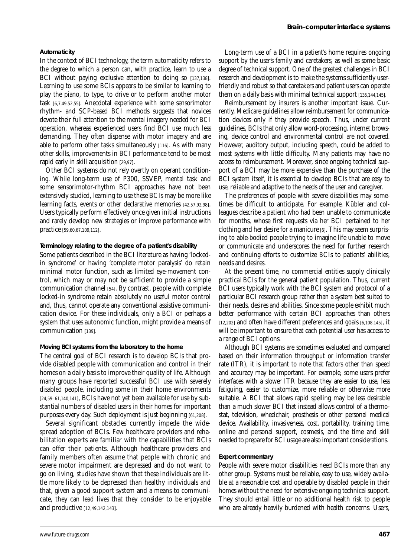#### *Automaticity*

In the context of BCI technology, the term automaticity refers to the degree to which a person can, with practice, learn to use a BCI without paying exclusive attention to doing so [137,138]. Learning to use some BCIs appears to be similar to learning to play the piano, to type, to drive or to perform another motor task [6,7,49,52,55]. Anecdotal experience with some sensorimotor rhythm- and SCP-based BCI methods suggests that novices devote their full attention to the mental imagery needed for BCI operation, whereas experienced users find BCI use much less demanding. They often dispense with motor imagery and are able to perform other tasks simultaneously [116]. As with many other skills, improvements in BCI performance tend to be most rapid early in skill acquisition [29,97].

Other BCI systems do not rely overtly on operant conditioning. While long-term use of P300, SSVEP, mental task and some sensorimotor-rhythm BCI approaches have not been extensively studied, learning to use these BCIs may be more like learning facts, events or other declarative memories [42,57,92,98]. Users typically perform effectively once given initial instructions and rarely develop new strategies or improve performance with practice [59,60,67,109,112].

#### *Terminology relating to the degree of a patient's disability*

Some patients described in the BCI literature as having 'lockedin syndrome' or having 'complete motor paralysis' do retain minimal motor function, such as limited eye-movement control, which may or may not be sufficient to provide a simple communication channel [54]. By contrast, people with complete locked-in syndrome retain absolutely no useful motor control and, thus, cannot operate any conventional assistive communication device. For these individuals, only a BCI or perhaps a system that uses autonomic function, might provide a means of communication [139].

#### **Moving BCI systems from the laboratory to the home**

The central goal of BCI research is to develop BCIs that provide disabled people with communication and control in their homes on a daily basis to improve their quality of life. Although many groups have reported successful BCI use with severely disabled people, including some in their home environments [24,59–61,140,141], BCIs have not yet been available for use by substantial numbers of disabled users in their homes for important purposes every day. Such deployment is just beginning [61,208].

Several significant obstacles currently impede the widespread adoption of BCIs. Few healthcare providers and rehabilitation experts are familiar with the capabilities that BCIs can offer their patients. Although healthcare providers and family members often assume that people with chronic and severe motor impairment are depressed and do not want to go on living, studies have shown that these individuals are little more likely to be depressed than healthy individuals and that, given a good support system and a means to communicate, they can lead lives that they consider to be enjoyable and productive [12,49,142,143].

Long-term use of a BCI in a patient's home requires ongoing support by the user's family and caretakers, as well as some basic degree of technical support. One of the greatest challenges in BCI research and development is to make the systems sufficiently userfriendly and robust so that caretakers and patient users can operate them on a daily basis with minimal technical support [135,144,145].

Reimbursement by insurers is another important issue. Currently, Medicare guidelines allow reimbursement for communication devices only if they provide speech. Thus, under current guidelines, BCIs that only allow word-processing, internet browsing, device control and environmental control are not covered. However, auditory output, including speech, could be added to most systems with little difficulty. Many patients may have no access to reimbursement. Moreover, since ongoing technical support of a BCI may be more expensive than the purchase of the BCI system itself, it is essential to develop BCIs that are easy to use, reliable and adaptive to the needs of the user and caregiver.

The preferences of people with severe disabilities may sometimes be difficult to anticipate. For example, Kübler and colleagues describe a patient who had been unable to communicate for months, whose first requests via her BCI pertained to her clothing and her desire for a manicure [6]. This may seem surprising to able-bodied people trying to imagine life unable to move or communicate and underscores the need for further research and continuing efforts to customize BCIs to patients' abilities, needs and desires.

At the present time, no commercial entities supply clinically practical BCIs for the general patient population. Thus, current BCI users typically work with the BCI system and protocol of a particular BCI research group rather than a system best suited to their needs, desires and abilities. Since some people exhibit much better performance with certain BCI approaches than others [12,202] and often have different preferences and goals [6,108,145], it will be important to ensure that each potential user has access to a range of BCI options.

Although BCI systems are sometimes evaluated and compared based on their information throughput or information transfer rate (ITR), it is important to note that factors other than speed and accuracy may be important. For example, some users prefer interfaces with a slower ITR because they are easier to use, less fatiguing, easier to customize, more reliable or otherwise more suitable. A BCI that allows rapid spelling may be less desirable than a much slower BCI that instead allows control of a thermostat, television, wheelchair, prosthesis or other personal medical device. Availability, invasiveness, cost, portability, training time, online and personal support, cosmesis, and the time and skill needed to prepare for BCI usage are also important considerations.

#### **Expert commentary**

People with severe motor disabilities need BCIs more than any other group. Systems must be reliable, easy to use, widely available at a reasonable cost and operable by disabled people in their homes without the need for extensive ongoing technical support. They should entail little or no additional health risk to people who are already heavily burdened with health concerns. Users,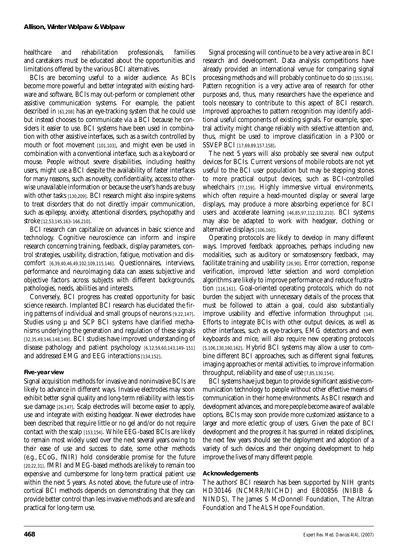healthcare and rehabilitation professionals, families and caretakers must be educated about the opportunities and limitations offered by the various BCI alternatives.

BCIs are becoming useful to a wider audience. As BCIs become more powerful and better integrated with existing hardware and software, BCIs may out-perform or complement other assistive communication systems. For example, the patient described in [61,208] has an eye-tracking system that he could use but instead chooses to communicate via a BCI because he considers it easier to use. BCI systems have been used in combination with other assistive interfaces, such as a switch controlled by mouth or foot movement [101,103], and might even be used in combination with a conventional interface, such as a keyboard or mouse. People without severe disabilities, including healthy users, might use a BCI despite the availability of faster interfaces for many reasons, such as novelty, confidentiality, access to otherwise unavailable information or because the user's hands are busy with other tasks [130,209]. BCI research might also inspire systems to treat disorders that do not directly impair communication, such as epilepsy, anxiety, attentional disorders, psychopathy and stroke [12,53,145,163–166,210].

BCI research can capitalize on advances in basic science and technology. Cognitive neuroscience can inform and inspire research concerning training, feedback, display parameters, control strategies, usability, distraction, fatigue, motivation and discomfort [6,39,40,46,49,102,109,115,146]. Questionnaires, interviews, performance and neuroimaging data can assess subjective and objective factors across subjects with different backgrounds, pathologies, needs, abilities and interests.

Conversely, BCI progress has created opportunity for basic science research. Implanted BCI research has elucidated the firing patterns of individual and small groups of neurons [9,22,147]. Studies using  $\mu$  and SCP BCI systems have clarified mechanisms underlying the generation and regulation of these signals [32,35,49,146,148,149]. BCI studies have improved understanding of disease pathology and patient psychology [6,12,59,60,143,149–151] and addressed EMG and EEG interactions [134,152].

# **Five-year view**

Signal acquisition methods for invasive and noninvasive BCIs are likely to advance in different ways. Invasive electrodes may soon exhibit better signal quality and long-term reliability with less tissue damage [26,147]. Scalp electrodes will become easier to apply, use and integrate with existing headgear. Newer electrodes have been described that require little or no gel and/or do not require contact with the scalp [153,154]. While EEG-based BCIs are likely to remain most widely used over the next several years owing to their ease of use and success to date, some other methods (e.g., ECoG, fNIR) hold considerable promise for the future [20,22,31]. fMRI and MEG-based methods are likely to remain too expensive and cumbersome for long-term practical patient use within the next 5 years. As noted above, the future use of intracortical BCI methods depends on demonstrating that they can provide better control than less invasive methods and are safe and practical for long-term use.

Signal processing will continue to be a very active area in BCI research and development. Data analysis competitions have already provided an international venue for comparing signal processing methods and will probably continue to do so [155,156]. Pattern recognition is a very active area of research for other purposes and, thus, many researchers have the experience and tools necessary to contribute to this aspect of BCI research. Improved approaches to pattern recognition may identify additional useful components of existing signals. For example, spectral activity might change reliably with selective attention and, thus, might be used to improve classification in a P300 or SSVEP BCI [17,69,89,157,158].

The next 5 years will also probably see several new output devices for BCIs. Current versions of mobile robots are not yet useful to the BCI user population but may be stepping stones to more practical output devices, such as BCI-controlled wheelchairs [77,159]. Highly immersive virtual environments, which often require a head-mounted display or several large displays, may produce a more absorbing experience for BCI users and accelerate learning [46,85,97,112,132,210]. BCI systems may also be adapted to work with headgear, clothing or alternative displays [106,160].

Operating protocols are likely to develop in many different ways. Improved feedback approaches, perhaps including new modalities, such as auditory or somatosensory feedback, may facilitate training and usability [26,90]. Error correction, response verification, improved letter selection and word completion algorithms are likely to improve performance and reduce frustration [116,161]. Goal-oriented operating protocols, which do not burden the subject with unnecessary details of the process that must be followed to attain a goal, could also substantially improve usability and effective information throughput [14]. Efforts to integrate BCIs with other output devices, as well as other interfaces, such as eye-trackers, EMG detectors and even keyboards and mice, will also require new operating protocols [5,106,130,160,162]. Hybrid BCI systems may allow a user to combine different BCI approaches, such as different signal features, imaging approaches or mental activities, to improve information throughput, reliability and ease of use [7,85,130,154].

BCI systems have just begun to provide significant assistive communication technology to people without other effective means of communication in their home environments. As BCI research and development advances, and more people become aware of available options, BCIs may soon provide more customized assistance to a larger and more eclectic group of users. Given the pace of BCI development and the progress it has spurred in related disciplines, the next few years should see the deployment and adoption of a variety of such devices and their ongoing development to help improve the lives of many different people.

# **Acknowledgements**

The authors' BCI research has been supported by NIH grants HD30146 (NCMRR/NICHD) and EB00856 (NIBIB & NINDS), The James S McDonnell Foundation, The Altran Foundation and The ALS Hope Foundation.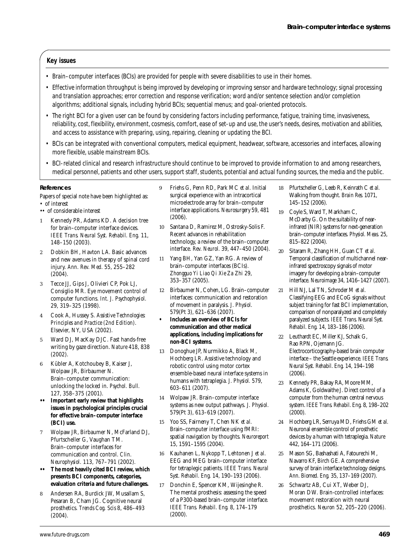# **Key issues**

- Brain–computer interfaces (BCIs) are provided for people with severe disabilities to use in their homes.
- Effective information throughput is being improved by developing or improving sensor and hardware technology; signal processing and translation approaches; error correction and response verification; word and/or sentence selection and/or completion algorithms; additional signals, including hybrid BCIs; sequential menus; and goal-oriented protocols.
- The right BCI for a given user can be found by considering factors including performance, fatigue, training time, invasiveness, reliability, cost, flexibility, environment, cosmesis, comfort, ease of set-up and use, the user's needs, desires, motivation and abilities, and access to assistance with preparing, using, repairing, cleaning or updating the BCI.
- BCIs can be integrated with conventional computers, medical equipment, headwear, software, accessories and interfaces, allowing more flexible, usable mainstream BCIs.
- BCI-related clinical and research infrastructure should continue to be improved to provide information to and among researchers, medical personnel, patients and other users, support staff, students, potential and actual funding sources, the media and the public.

#### **References**

- Papers of special note have been highlighted as:
- of interest
- •• of considerable interest
- 1 Kennedy PR, Adams KD. A decision tree for brain–computer interface devices. *IEEE Trans. Neural Syst. Rehabil. Eng.* 11, 148–150 (2003).
- 2 Dobkin BH, Havton LA. Basic advances and new avenues in therapy of spinal cord injury. *Ann. Rev. Med.* 55, 255–282  $(2004)$ .
- 3 Tecce JJ, Gips J, Olivieri CP, Pok LJ, Consiglio MR. Eye movement control of computer functions. *Int. J. Psychophysiol.* 29, 319–325 (1998).
- 4 Cook A, Hussey S. *Assistive Technologies: Principles and Practice (2nd Edition)*. Elsevier, NY, USA (2002).
- 5 Ward DJ, MacKay DJC. Fast hands-free writing by gaze direction. *Nature* 418, 838 (2002).
- 6 Kübler A, Kotchoubey B, Kaiser J, Wolpaw JR, Birbaumer N. Brain–computer communication: unlocking the locked in. *Psychol. Bull.* 127, 358–375 (2001).
- **•• Important early review that highlights issues in psychological principles crucial for effective brain–computer interface (BCI) use.**
- 7 Wolpaw JR, Birbaumer N, McFarland DJ, Pfurtscheller G, Vaughan TM. Brain–computer interfaces for communication and control. *Clin. Neurophysiol.* 113, 767–791 (2002).
- **•• The most heavily cited BCI review, which presents BCI components, categories, evaluation criteria and future challenges.**
- 8 Andersen RA, Burdick JW, Musallam S, Pesaran B, Cham JG. Cognitive neural prosthetics. *Trends Cog. Scis* 8, 486–493 (2004).
- 9 Friehs G, Penn RD, Park MC *et al.* Initial surgical experience with an intracortical microelectrode array for brain–computer interface applications. *Neurosurgery* 59, 481 (2006).
- 10 Santana D, Ramirez M, Ostrosky-Solis F. Recent advances in rehabilitation technology, a review of the brain–computer interface. *Rev. Neurol.* 39, 447–450 (2004).
- 11 Yang BH, Yan GZ, Yan RG. A review of brain–computer interfaces (BCIs). *Zhongguo Yi Liao Qi Xie Za Zhi* 29, 353–357 (2005).
- 12 Birbaumer N, Cohen, LG. Brain–computer interfaces: communication and restoration of movement in paralysis. *J. Physiol.* 579(Pt 3), 621–636 (2007).
- **Includes an overview of BCIs for communication and other medical applications, including implications for non-BCI systems.**
- 13 Donoghue JP, Nurmikko A, Black M, Hochberg LR. Assistive technology and robotic control using motor cortex ensemble-based neural interface systems in humans with tetraplegia. *J. Physiol.* 579, 603–611 (2007).
- 14 Wolpaw JR. Brain–computer interface systems as new output pathways. *J. Physiol.* 579(Pt 3), 613–619 (2007).
- 15 Yoo SS, Fairneny T, Chen NK *et al.* Brain–computer interface using fMRI: spatial navigation by thoughts. *Neuroreport* 15, 1591–1595 (2004).
- 16 Kauhanen L, Nykopp T, Lehtonen J *et al.* EEG and MEG brain–computer interface for tetraplegic patients. *IEEE Trans. Neural Syst. Rehabil. Eng.* 14, 190–193 (2006).
- 17 Donchin E, Spencer KM, Wijesinghe R. The mental prosthesis: assessing the speed of a P300-based brain–computer interface. *IEEE Trans. Rehabil. Eng.* 8, 174–179 (2000).
- 18 Pfurtscheller G, Leeb R, Keinrath C *et al.* Walking from thought. *Brain Res.* 1071, 145–152 (2006).
- 19 Coyle S, Ward T, Markham C, McDarby G. On the suitability of nearinfrared (NIR) systems for next-generation brain–computer interfaces. *Physiol. Meas.* 25, 815–822 (2004).
- 20 Sitaram R, Zhang HH, Guan CT *et al.* Temporal classification of multichannel nearinfrared spectroscopy signals of motor imagery for developing a brain–computer interface. *Neuroimage* 34, 1416–1427 (2007).
- 21 Hill NJ, Lal TN, Schroder M *et al.* Classifying EEG and ECoG signals without subject training for fast BCI implementation, comparison of nonparalyzed and completely paralyzed subjects. *IEEE Trans. Neural Syst. Rehabil. Eng.* 14, 183–186 (2006).
- Leuthardt EC, Miller KJ, Schalk G, Rao RPN, Ojemann JG. Electrocorticography-based brain computer interface – the Seattle experience. *IEEE Trans. Neural Syst. Rehabil. Eng.* 14, 194–198 (2006).
- 23 Kennedy PR, Bakay RA, Moore MM, Adams K, Goldwaithe J. Direct control of a computer from the human central nervous system. *IEEE Trans. Rehabil. Eng.* 8, 198–202 (2000).
- 24 Hochberg LR, Serruya MD, Friehs GM *et al.* Neuronal ensemble control of prosthetic devices by a human with tetraplegia. *Nature* 442, 164–171 (2006).
- 25 Mason SG, Bashashati A, Fatourechi M, Navarro KF, Birch GE. A comprehensive survey of brain interface technology designs. *Ann. Biomed. Eng.* 35, 137–169 (2007).
- 26 Schwartz AB, Cui XT, Weber DJ, Moran DW. Brain-controlled interfaces: movement restoration with neural prosthetics. *Neuron* 52, 205–220 (2006).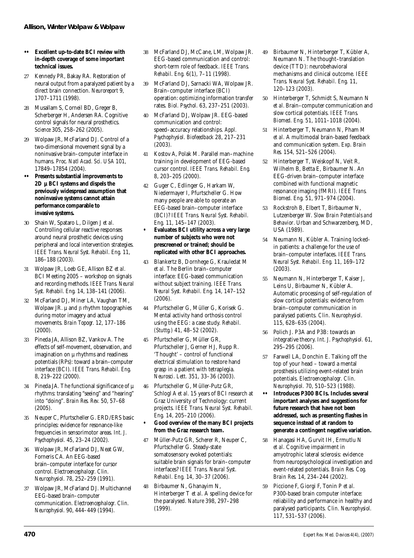- **•• Excellent up-to-date BCI review with in-depth coverage of some important technical issues.**
- 27 Kennedy PR, Bakay RA. Restoration of neural output from a paralyzed patient by a direct brain connection. *Neuroreport* 9, 1707–1711 (1998).
- 28 Musallam S, Corneil BD, Greger B, Scherberger H, Andersen RA. Cognitive control signals for neural prosthetics. *Science* 305, 258–262 (2005).
- 29 Wolpaw JR, McFarland DJ. Control of a two-dimensional movement signal by a noninvasive brain–computer interface in humans. *Proc. Natl Acad. Sci. USA* 101, 17849–17854 (2004).
- **•• Presents substantial improvements to 2D µ BCI systems and dispels the previously widespread assumption that noninvasive systems cannot attain performance comparable to invasive systems.**
- 30 Shain W, Spataro L, Dilgen J *et al.* Controlling cellular reactive responses around neural prosthetic devices using peripheral and local intervention strategies. *IEEE Trans. Neural Syst. Rehabil. Eng.* 11, 186–188 (2003).
- 31 Wolpaw JR, Loeb GE, Allison BZ *et al.* BCI Meeting 2005 – workshop on signals and recording methods. *IEEE Trans. Neural Syst. Rehabil. Eng.* 14, 138–141 (2006).
- 32 McFarland DJ, Miner LA, Vaughan TM, Wolpaw JR. µ and β rhythm topographies during motor imagery and actual movements. *Brain Topogr.* 12, 177–186 (2000).
- 33 Pineda JA, Allison BZ, Vankov A. The effects of self-movement, observation, and imagination on  $\mu$  rhythms and readiness potentials (RPs): toward a brain–computer interface (BCI). *IEEE Trans. Rehabil. Eng.* 8, 219–222 (2000).
- 34 Pineda JA. The functional significance of  $\mu$ rhythms: translating "seeing" and "hearing" into "doing". *Brain Res. Rev.* 50, 57–68 (2005).
- 35 Neuper C, Pfurtscheller G. ERD/ERS basic principles: evidence for resonance-like frequencies in sensorimotor areas. *Int. J. Psychophysiol.* 45, 23–24 (2002).
- 36 Wolpaw JR, McFarland DJ, Neat GW, Forneris CA. An EEG-based brain–computer interface for cursor control. *Electroencephalogr. Clin. Neurophysiol.* 78, 252–259 (1991).
- 37 Wolpaw JR, McFarland DJ. Multichannel EEG-based brain–computer communication. *Electroencephalogr. Clin. Neurophysiol.* 90, 444–449 (1994).
- 38 McFarland DJ, McCane, LM, Wolpaw JR. EEG-based communication and control: short-term role of feedback. *IEEE Trans. Rehabil. Eng.* 6(1), 7–11 (1998).
- 39 McFarland DJ, Sarnacki WA, Wolpaw JR. Brain–computer interface (BCI) operation: optimizing information transfer rates. *Biol. Psychol.* 63, 237–251 (2003).
- 40 McFarland DJ, Wolpaw JR. EEG-based communication and control: speed–accuracy relationships. *Appl. Psychophysiol. Biofeedback* 28, 217–231 (2003).
- 41 Kostov A, Polak M. Parallel man–machine training in development of EEG-based cursor control. *IEEE Trans. Rehabil. Eng.* 8, 203–205 (2000).
- 42 Guger C, Edlinger G, Harkam W, Niedermayer I, Pfurtscheller G. How many people are able to operate an EEG-based brain–computer interface (BCI)? *IEEE Trans. Neural Syst. Rehabil. Eng.* 11, 145–147 (2003).
- **Evaluates BCI utility across a very large number of subjects who were not prescreened or trained; should be replicated with other BCI approaches.**
- 43 Blankertz B, Dornhege G, Krauledat M *et al.* The Berlin brain–computer interface: EEG-based communication without subject training. *IEEE Trans. Neural Syst. Rehabil. Eng.* 14, 147–152 (2006).
- 44 Pfurtscheller G, Müller G, Korisek G. Mental activity hand orthosis control using the EEG: a case study. *Rehabil. (Stuttg.)* 41, 48–52 (2002).
- 45 Pfurtscheller G, Müller GR, Pfurtscheller J, Gerner HJ, Rupp R. 'Thought' – control of functional electrical stimulation to restore hand grasp in a patient with tetraplegia. *Neurosci. Lett.* 351, 33–36 (2003).
- 46 Pfurtscheller G, Müller-Putz GR, Schlogl A *et al.* 15 years of BCI research at Graz University of Technology: current projects. *IEEE Trans. Neural Syst. Rehabil. Eng.* 14, 205–210 (2006).
- **Good overview of the many BCI projects from the Graz research team.**
- 47 Müller-Putz GR, Scherer R, Neuper C, Pfurtscheller G. Steady-state somatosensory evoked potentials: suitable brain signals for brain–computer interfaces? *IEEE Trans. Neural Syst. Rehabil. Eng.* 14, 30–37 (2006).
- 48 Birbaumer N, Ghanayim N, Hinterberger T *et al.* A spelling device for the paralysed. *Nature* 398, 297–298 (1999).
- 49 Birbaumer N, Hinterberger T, Kübler A, Neumann N. The thought–translation device (TTD): neurobehavioral mechanisms and clinical outcome. *IEEE Trans. Neural Syst. Rehabil. Eng.* 11, 120–123 (2003).
- 50 Hinterberger T, Schmidt S, Neumann N *et al.* Brain–computer communication and slow cortical potentials. *IEEE Trans. Biomed. Eng.* 51, 1011–1018 (2004).
- 51 Hinterberger T, Neumann N, Pham M *et al.* A multimodal brain-based feedback and communication system. *Exp. Brain Res.* 154, 521–526 (2004).
- 52 Hinterberger T, Weiskopf N, Veit R, Wilhelm B, Betta E, Birbaumer N. An EEG-driven brain–computer interface combined with functional magnetic resonance imaging (fMRI). *IEEE Trans. Biomed. Eng.* 51, 971–974 (2004).
- 53 Rockstroh B, Elbert T, Birbaumer N, Lutzenberger W. *Slow Brain Potentials and Behavior*. Urban and Schwarzenberg, MD, USA (1989).
- 54 Neumann N, Kübler A. Training lockedin patients: a challenge for the use of brain–computer interfaces. *IEEE Trans. Neural Syst. Rehabil. Eng.* 11, 169–172 (2003).
- 55 Neumann N, Hinterberger T, Kaiser J, Leins U, Birbaumer N, Kübler A. Automatic processing of self-regulation of slow cortical potentials: evidence from brain–computer communication in paralysed patients. *Clin. Neurophysiol.* 115, 628–635 (2004).
- 56 Polich J. P3A and P3B: towards an integrative theory. *Int. J. Psychophysiol.* 61, 295–295 (2006).
- 57 Farwell LA, Donchin E. Talking off the top of your head – toward a mental prosthesis utilizing event-related brain potentials. *Electroencephalogr. Clin. Neurophysiol.* 70, 510–523 (1988).
- **•• Introduces P300 BCIs. Includes several important analyses and suggestions for future research that have not been addressed, such as presenting flashes in sequence instead of at random to generate a contingent negative variation.**
- 58 Hanagasi HA, Gurvit IH, Ermutlu N *et al.* Cognitive impairment in amyotrophic lateral sclerosis: evidence from neuropsychological investigation and event-related potentials. *Brain Res. Cog. Brain Res.* 14, 234–244 (2002).
- 59 Piccione F, Giorgi F, Tonin P *et al.* P300-based brain computer interface: reliability and performance in healthy and paralysed participants. *Clin. Neurophysiol.* 117, 531–537 (2006).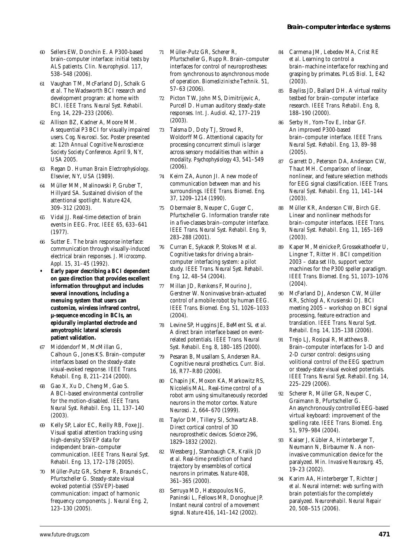- 60 Sellers EW, Donchin E. A P300-based brain–computer interface: initial tests by ALS patients. *Clin. Neurophysiol.* 117, 538–548 (2006).
- 61 Vaughan TM, McFarland DJ, Schalk G *et al.* The Wadsworth BCI research and development program: at home with BCI. *IEEE Trans. Neural Syst. Rehabil. Eng.* 14, 229–233 (2006).
- 62 Allison BZ, Kadner A, Moore MM. A sequential P3 BCI for visually impaired users*. Cog. Neurosci. Soc.* Poster presented at: *12th Annual Cognitive Neuroscience Society Society Conference.* April 9, NY, USA 2005.
- 63 Regan D. *Human Brain Electrophysiology*. Elsevier, NY, USA (1989).
- 64 Müller MM, Malinowski P, Gruber T, Hillyard SA. Sustained division of the attentional spotlight. *Nature* 424, 309–312 (2003).
- 65 Vidal JJ. Real-time detection of brain events in EEG. *Proc. IEEE* 65, 633–641 (1977).
- 66 Sutter E. The brain response interface: communication through visually-induced electrical brain responses. *J. Microcomp. Appl.* 15, 31–45 (1992).
- **Early paper describing a BCI dependent on gaze direction that provides excellent information throughput and includes several innovations, including a menuing system that users can customize, wireless infrared control, µ-sequence encoding in BCIs, an epidurally implanted electrode and amyotrophic lateral sclerosis patient validation.**
- Middendorf M, McMillan G, Calhoun G, Jones KS. Brain–computer interfaces based on the steady-state visual-evoked response. *IEEE Trans. Rehabil. Eng.* 8, 211–214 (2000).
- 68 Gao X, Xu D, Cheng M, Gao S. A BCI-based environmental controller for the motion-disabled. *IEEE Trans. Neural Syst. Rehabil. Eng.* 11, 137–140 (2003).
- 69 Kelly SP, Lalor EC, Reilly RB, Foxe JJ. Visual spatial attention tracking using high-density SSVEP data for independent brain–computer communication. *IEEE Trans. Neural Syst. Rehabil. Eng.* 13, 172–178 (2005).
- 70 Müller-Putz GR, Scherer R, Brauneis C, Pfurtscheller G. Steady-state visual evoked potential (SSVEP)-based communication: impact of harmonic frequency components. *J. Neural Eng.* 2, 123–130 (2005).
- 71 Müller-Putz GR, Scherer R, Pfurtscheller G, Rupp R. Brain–computer interfaces for control of neuroprostheses: from synchronous to asynchronous mode of operation. *Biomedizinische Technik.* 51, 57–63 (2006).
- 72 Picton TW, John MS, Dimitrijevic A, Purcell D. Human auditory steady-state responses. *Int. J. Audiol.* 42, 177–219 (2003).
- 73 Talsma D, Doty TJ, Strowd R, Woldorff MG. Attentional capacity for processing concurrent stimuli is larger across sensory modalities than within a modality. *Psychophysiology* 43, 541–549 (2006).
- Keirn ZA, Aunon JI. A new mode of communication between man and his surroundings. *IEEE Trans. Biomed. Eng.* 37, 1209–1214 (1990).
- 75 Obermaier B, Neuper C, Guger C, Pfurtscheller G. Information transfer rate in a five-classes brain–computer interface. *IEEE Trans. Neural Syst. Rehabil. Eng.* 9, 283–288 (2001).
- 76 Curran E, Sykacek P, Stokes M *et al.* Cognitive tasks for driving a braincomputer interfacing system: a pilot study. *IEEE Trans. Neural Syst. Rehabil. Eng.* 12, 48–54 (2004).
- 77 Millan JD, Renkens F, Mourino J, Gerstner W. Noninvasive brain-actuated control of a mobile robot by human EEG. *IEEE Trans. Biomed. Eng.* 51, 1026–1033 (2004).
- 78 Levine SP, Huggins JE, BeMent SL *et al.* A direct brain interface based on eventrelated potentials. *IEEE Trans. Neural Syst. Rehabil. Eng.* 8, 180–185 (2000).
- 79 Pesaran B, Musallam S, Andersen RA. Cognitive neural prosthetics. *Curr. Biol.* 16, R77–R80 (2006).
- 80 Chapin JK, Moxon KA, Markowitz RS, Nicolelis MAL. Real-time control of a robot arm using simultaneously recorded neurons in the motor cortex. *Nature Neurosci.* 2, 664–670 (1999).
- Taylor DM, Tillery SI, Schwartz AB. Direct cortical control of 3D neuroprosthetic devices. *Science* 296, 1829–1832 (2002).
- 82 Wessberg J, Stambaugh CR, Kralik JD *et al.* Real-time prediction of hand trajectory by ensembles of cortical neurons in primates. *Nature* 408, 361–365 (2000).
- 83 Serruya MD, Hatsopoulos NG, Paninski L, Fellows MR, Donoghue JP. Instant neural control of a movement signal. *Nature* 416, 141–142 (2002).
- 84 Carmena JM, Lebedev MA, Crist RE *et al.* Learning to control a brain–machine interface for reaching and grasping by primates. *PLoS Biol.* 1, E42 (2003).
- 85 Bayliss JD, Ballard DH. A virtual reality testbed for brain–computer interface research. *IEEE Trans. Rehabil. Eng.* 8, 188–190 (2000).
- 86 Serby H, Yom-Tov E, Inbar GF. An improved P300-based brain–computer interface. *IEEE Trans. Neural Syst. Rehabil. Eng.* 13, 89–98 (2005).
- 87 Garrett D, Peterson DA, Anderson CW, Thaut MH. Comparison of linear, nonlinear, and feature selection methods for EEG signal classification. *IEEE Trans. Neural Syst. Rehabil. Eng.* 11, 141–144 (2003).
- 88 Müller KR, Anderson CW, Birch GE. Linear and nonlinear methods for brain–computer interfaces. *IEEE Trans. Neural Syst. Rehabil. Eng.* 11, 165–169 (2003).
- 89 Kaper M, Meinicke P, Grossekathoefer U, Lingner T, Ritter H. BCI competition 2003 – data set IIb, support vector machines for the P300 speller paradigm. *IEEE Trans. Biomed. Eng.* 51, 1073–1076 (2004).
- 90 McFarland DJ, Anderson CW, Müller KR, Schlogl A, Krusienski DJ. BCI meeting 2005 – workshop on BCI signal processing, feature extraction and translation*. IEEE Trans. Neural Syst. Rehabil. Eng.* 14, 135–138 (2006).
- 91 Trejo LJ, Rosipal R, Matthews B. Brain–computer interfaces for 1-D and 2-D cursor control: designs using volitional control of the EEG spectrum or steady-state visual evoked potentials. *IEEE Trans. Neural Syst. Rehabil. Eng.* 14, 225–229 (2006).
- 92 Scherer R, Müller GR, Neuper C, Graimann B, Pfurtscheller G. An asynchronously controlled EEG-based virtual keyboard: improvement of the spelling rate. *IEEE Trans. Biomed. Eng.* 51, 979–984 (2004).
- 93 Kaiser J, Kübler A, Hinterberger T, Neumann N, Birbaumer N. A noninvasive communication device for the paralyzed. *Min. Invasive Neurosurg.* 45, 19–23 (2002).
- 94 Karim AA, Hinterberger T, Richter J *et al.* Neural internet: web surfing with brain potentials for the completely paralyzed. *Neurorehabil. Neural Repair* 20, 508–515 (2006).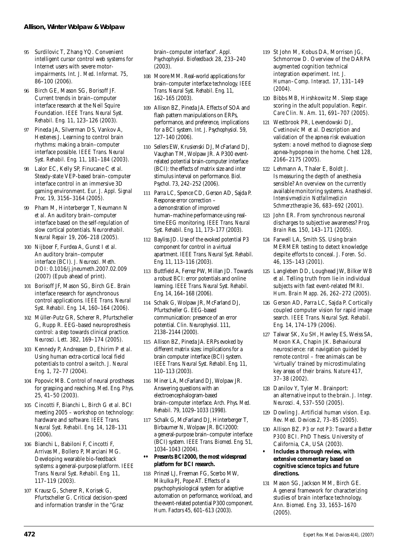- 95 Surdilovic T, Zhang YQ. Convenient intelligent cursor control web systems for Internet users with severe motorimpairments. *Int. J. Med. Informat.* 75, 86–100 (2006).
- 96 Birch GE, Mason SG, Borisoff JF. Current trends in brain–computer interface research at the Neil Squire Foundation. *IEEE Trans. Neural Syst. Rehabil. Eng.* 11, 123–126 (2003).
- 97 Pineda JA, Silverman DS, Vankov A, Hestenes J. Learning to control brain rhythms: making a brain–computer interface possible. *IEEE Trans. Neural Syst. Rehabil. Eng.* 11, 181–184 (2003).
- 98 Lalor EC, Kelly SP, Finucane C *et al.* Steady-state VEP-based brain–computer interface control in an immersive 3D gaming environment*. Eur. J. Appl. Signal Proc.* 19, 3156–3164 (2005).
- 99 Pham M, Hinterberger T, Neumann N *et al.* An auditory brain–computer interface based on the self-regulation of slow cortical potentials. *Neurorehabil. Neural Repair* 19, 206–218 (2005).
- 100 Nijboer F, Furdea A, Gunst I *et al.* An auditory brain–computer interface (BCI). *J. Neurosci. Meth.* DOI: 0.1016/j.jneumeth.2007.02.009 (2007) (Epub ahead of print).
- 101 Borisoff JF, Mason SG, Birch GE. Brain interface research for asynchronous control applications. *IEEE Trans. Neural Syst. Rehabil. Eng.* 14, 160–164 (2006).
- 102 Müller-Putz GR, Scherer R, Pfurtscheller G, Rupp R. EEG-based neuroprosthesis control: a step towards clinical practice. *Neurosci. Lett.* 382, 169–174 (2005).
- 103 Kennedy P, Andreasen D, Ehirim P *et al.* Using human extra-cortical local field potentials to control a switch. *J. Neural Eng.* 1, 72–77 (2004).
- 104 Popovic MB. Control of neural prostheses for grasping and reaching. *Med. Eng. Phys.* 25, 41–50 (2003).
- 105 Cincotti F, Bianchi L, Birch G *et al.* BCI meeting 2005 – workshop on technology: hardware and software. *IEEE Trans. Neural Syst. Rehabil. Eng.* 14, 128–131 (2006).
- 106 Bianchi L, Babiloni F, Cincotti F, Arrivas M, Bollero P, Marciani MG. Developing wearable bio-feedback systems: a general-purpose platform. *IEEE Trans. Neural Syst. Rehabil. Eng.* 11, 117–119 (2003).
- 107 Krausz G, Scherer R, Korisek G, Pfurtscheller G. Critical decision-speed and information transfer in the "Graz

brain–computer interface". *Appl. Psychophysiol. Biofeedback* 28, 233–240 (2003).

- 108 Moore MM. Real-world applications for brain–computer interface technology. *IEEE Trans. Neural Syst. Rehabil. Eng.* 11, 162–165 (2003).
- 109 Allison BZ, Pineda JA. Effects of SOA and flash pattern manipulations on ERPs, performance, and preference, implications for a BCI system*. Int. J. Psychophysiol.* 59, 127–140 (2006).
- 110 Sellers EW, Krusienski DJ, McFarland DJ, Vaughan TM, Wolpaw JR. A P300 eventrelated potential brain-computer interface (BCI): the effects of matrix size and inter stimulus interval on performance. *Biol. Psychol.* 73, 242–252 (2006).
- 111 Parra LC, Spence CD, Gerson AD, Sajda P. Response error correction – a demonstration of improved human–machine performance using realtime EEG monitoring. *IEEE Trans. Neural Syst. Rehabil. Eng.* 11, 173–177 (2003).
- 112 Bayliss JD. Use of the evoked potential P3 component for control in a virtual apartment. *IEEE Trans. Neural Syst. Rehabil. Eng.* 11, 113–116 (2003).
- 113 Buttfield A, Ferrez PW, Millan JD. Towards a robust BCI: error potentials and online learning. *IEEE Trans. Neural Syst. Rehabil. Eng.* 14, 164–168 (2006).
- 114 Schalk G, Wolpaw JR, McFarland DJ, Pfurtscheller G. EEG-based communication: presence of an error potential. *Clin. Neurophysiol.* 111, 2138–2144 (2000).
- 115 Allison BZ, Pineda JA. ERPs evoked by different matrix sizes: implications for a brain computer interface (BCI) system. *IEEE Trans. Neural Syst. Rehabil. Eng.* 11, 110–113 (2003).
- 116 Miner LA, McFarland DJ, Wolpaw JR. Answering questions with an electroencephalogram-based brain–computer interface. *Arch. Phys. Med. Rehabil.* 79, 1029–1033 (1998).
- 117 Schalk G, McFarland DJ, Hinterberger T, Birbaumer N, Wolpaw JR. BCI2000: a general-purpose brain–computer interface (BCI) system. *IEEE Trans. Biomed. Eng.* 51, 1034–1043 (2004).
- **•• Presents BCI2000, the most widespread platform for BCI research.**
- 118 Prinzel LJ, Freeman FG, Scerbo MW, Mikulka PJ, Pope AT. Effects of a psychophysiological system for adaptive automation on performance, workload, and the event-related potential P300 component. *Hum. Factors* 45, 601–613 (2003).
- 119 St John M, Kobus DA, Morrison JG, Schmorrow D. Overview of the DARPA augmented cognition technical integration experiment*. Int. J. Human–Comp. Interact.* 17, 131–149  $(2004)$ .
- 120 Bibbs MB, Hirshkowitz M. Sleep stage scoring in the adult population. *Respir. Care Clin. N. Am.* 11, 691–707 (2005).
- 121 Westbrook PR, Levendowski DJ, Cvetinovic M *et al.* Description and validation of the apnea risk evaluation system: a novel method to diagnose sleep apnea-hypopnea in the home. *Chest* 128,  $2166 - 2175$  (2005).
- 122 Lehmann A, Thaler E, Boldt J. Is measuring the depth of anesthesia sensible? An overview on the currently available monitoring systems. *Anasthesiol. Intensivmedizin Notfallmedizin Schmerztherapie* 36, 683–692 (2001).
- 123 John ER. From synchronous neuronal discharges to subjective awareness? *Prog. Brain Res.* 150, 143–171 (2005).
- 124 Farwell LA, Smith SS. Using brain MERMER testing to detect knowledge despite efforts to conceal. *J. Foren. Sci.* 46, 135–143 (2001).
- 125 Langleben DD, Loughead JW, Bilker WB *et al.* Telling truth from lie in individual subjects with fast event-related fMRI. *Hum. Brain Mapp.* 26, 262–272 (2005).
- 126 Gerson AD, Parra LC, Sajda P. Cortically coupled computer vision for rapid image search. *IEEE Trans. Neural Syst. Rehabil. Eng.* 14, 174–179 (2006).
- 127 Talwar SK, Xu SH, Hawley ES, Weiss SA, Moxon KA, Chapin JK. Behavioural neuroscience: rat navigation guided by remote control – free animals can be 'virtually' trained by microstimulating key areas of their brains. *Nature* 417, 37–38 (2002).
- 128 Danilov Y, Tyler M. Brainport: an alternative input to the brain. *J. Integr. Neurosci.* 4, 537–550 (2005).
- 129 Dowling J. Artificial human vision. *Exp. Rev. Med. Devices* 2, 73–85 (2005).
- 130 Allison BZ. *P3 or not P3: Toward a Better P300 BCI*. PhD Thesis. University of California, CA, USA (2003).
- **Includes a thorough review, with extensive commentary based on cognitive science topics and future directions.**
- 131 Mason SG, Jackson MM, Birch GE. A general framework for characterizing studies of brain interface technology. *Ann. Biomed. Eng.* 33, 1653–1670 (2005).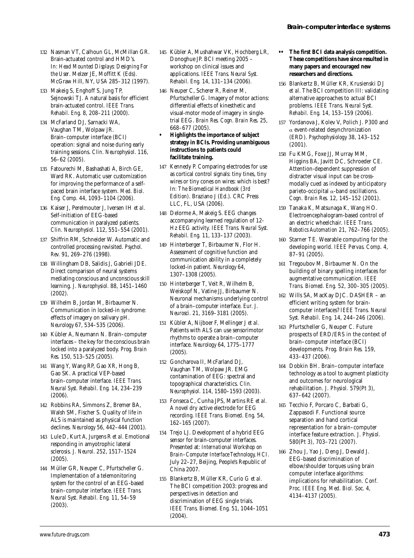- 132 Nasman VT, Calhoun GL, McMillan GR. Brain-actuated control and HMD's. In: *Head Mounted Displays: Designing For the User*. Melzer JE, Moffitt K (Eds). McGraw Hill, NY, USA 285–312 (1997).
- 133 Makeig S, Enghoff S, Jung TP, Sejnowski TJ. A natural basis for efficient brain-actuated control. *IEEE Trans. Rehabil. Eng.* 8, 208–211 (2000).
- 134 McFarland DJ, Sarnacki WA, Vaughan TM, Wolpaw JR. Brain–computer interface (BCI) operation: signal and noise during early training sessions. *Clin. Neurophysiol.* 116, 56–62 (2005).
- 135 Fatourechi M, Bashashati A, Birch GE, Ward RK. Automatic user customization for improving the performance of a selfpaced brain interface system. *Med. Biol. Eng. Comp.* 44, 1093–1104 (2006).
- 136 Kaiser J, Perelmouter J, Iversen IH *et al.* Self-initiation of EEG-based communication in paralyzed patients. *Clin. Neurophysiol.* 112, 551–554 (2001).
- 137 Shiffrin RM, Schneider W. Automatic and controlled processing revisited. *Psychol. Rev.* 91, 269–276 (1998).
- 138 Willingham DB, Salidis J, Gabrieli JDE. Direct comparison of neural systems mediating conscious and unconscious skill learning. *J. Neurophysiol.* 88, 1451–1460 (2002).
- 139 Wilhelm B, Jordan M, Birbaumer N. Communication in locked-in syndrome: effects of imagery on salivary pH. *Neurology* 67, 534–535 (2006).
- 140 Kübler A, Neumann N. Brain–computer interfaces – the key for the conscious brain locked into a paralyzed body. *Prog. Brain Res.* 150, 513–525 (2005).
- 141 Wang Y, Wang RP, Gao XR, Hong B, Gao SK. A practical VEP-based brain–computer interface. *IEEE Trans. Neural Syst. Rehabil. Eng.* 14, 234–239 (2006).
- 142 Robbins RA, Simmons Z, Bremer BA, Walsh SM, Fischer S. Quality of life in ALS is maintained as physical function declines. *Neurology* 56, 442–444 (2001).
- 143 Lule D, Kurt A, Jurgens R *et al.* Emotional responding in amyotrophic lateral sclerosis. *J. Neurol.* 252, 1517–1524 (2005).
- 144 Müller GR, Neuper C, Pfurtscheller G. Implementation of a telemonitoring system for the control of an EEG-based brain–computer interface. *IEEE Trans. Neural Syst. Rehabil. Eng.* 11, 54–59 (2003).
- 145 Kübler A, Mushahwar VK, Hochberg LR, Donoghue JP. BCI meeting 2005 – workshop on clinical issues and applications. *IEEE Trans. Neural Syst. Rehabil. Eng.* 14, 131–134 (2006).
- 146 Neuper C, Scherer R, Reiner M, Pfurtscheller G. Imagery of motor actions: differential effects of kinesthetic and visual-motor mode of imagery in singletrial EEG. *Brain Res. Cogn. Brain Res.* 25, 668–677 (2005).
- **Highlights the importance of subject strategy in BCIs. Providing unambiguous instructions to patients could facilitate training.**
- 147 Kennedy P. Comparing electrodes for use as cortical control signals: tiny tines, tiny wires or tiny cones on wires: which is best? In*: The Biomedical Handbook (3rd Edition)*. Braziano J (Ed.). CRC Press LLC, FL, USA (2006).
- 148 Delorme A, Makeig S. EEG changes accompanying learned regulation of 12- Hz EEG activity. *IEEE Trans. Neural Syst. Rehabil. Eng.* 11, 133–137 (2003).
- 149 Hinterberger T, Birbaumer N, Flor H. Assessment of cognitive function and communication ability in a completely locked-in patient. *Neurology* 64, 1307–1308 (2005).
- 150 Hinterberger T, Veit R, Wilhelm B, Weiskopf N, Vatine JJ, Birbaumer N. Neuronal mechanisms underlying control of a brain–computer interface. *Eur. J. Neurosci.* 21, 3169–3181 (2005).
- 151 Kübler A, Nijboer F, Mellinger J *et al.* Patients with ALS can use sensorimotor rhythms to operate a brain–computer interface. *Neurology* 64, 1775–1777 (2005).
- 152 Goncharova II, McFarland DJ, Vaughan TM, Wolpaw JR. EMG contamination of EEG: spectral and topographical characteristics. *Clin. Neurophysiol.* 114, 1580–1593 (2003).
- 153 Fonseca C, Cunha JPS, Martins RE *et al.* A novel dry active electrode for EEG recording. *IEEE Trans. Biomed. Eng.* 54, 162–165 (2007).
- 154 Trejo LJ. Development of a hybrid EEG sensor for brain-computer interfaces. Presented at: *International Workshop on Brain–Computer Interface Technology, HCI*. July 22–27, Beijing, People's Republic of China 2007.
- 155 Blankertz B, Müller KR, Curio G *et al.* The BCI competition 2003: progress and perspectives in detection and discrimination of EEG single trials. *IEEE Trans. Biomed. Eng.* 51, 1044–1051 (2004).
- **•• The first BCI data analysis competition. These competitions have since resulted in many papers and encouraged new researchers and directions.**
- 156 Blankertz B, Müller KR, Krusienski DJ *et al.* The BCI competition III: validating alternative approaches to actual BCI problems. *IEEE Trans. Neural Syst. Rehabil. Eng.* 14, 153–159 (2006).
- 157 Yordanova J, Kolev V, Polich J. P300 and α event-related desynchronization (ERD). *Psychophysiology* 38, 143–152 (2001).
- 158 Fu KMG, Foxe JJ, Murray MM, Higgins BA, Javitt DC, Schroeder CE. Attention-dependent suppression of distracter visual input can be crossmodally cued as indexed by anticipatory parieto-occipital α-band oscillations. *Cogn. Brain Res.* 12, 145–152 (2001).
- 159 Tanaka K, Matsunaga K, Wang HO. Electroencephalogram-based control of an electric wheelchair. *IEEE Trans. Robotics Automation* 21, 762–766 (2005).
- 160 Starner TE. Wearable computing for the developing world. *IEEE Pervas. Comp.* 4, 87–91 (2005).
- 161 Tregoubov M, Birbaumer N. On the building of binary spelling interfaces for augmentative communication. *IEEE Trans. Biomed. Eng.* 52, 300–305 (2005).
- 162 Wills SA, MacKay DJC. DASHER an efficient writing system for braincomputer interfaces? *IEEE Trans. Neural Syst. Rehabil. Eng.* 14, 244–246 (2006).
- 163 Pfurtscheller G, Neuper C. Future prospects of ERD/ERS in the context of brain–computer interface (BCI) developments. *Prog. Brain Res.* 159, 433–437 (2006).
- 164 Dobkin BH. Brain–computer interface technology as a tool to augment plasticity and outcomes for neurological rehabilitation. *J. Physiol.* 579(Pt 3), 637–642 (2007).
- 165 Tecchio F, Porcaro C, Barbati G, Zappasodi F. Functional source separation and hand cortical representation for a brain–computer interface feature extraction. *J. Physiol.* 580(Pt 3), 703–721 (2007).
- 166 Zhou J, Yao J, Deng J, Dewald J. EEG-based discrimination of elbow/shoulder torques using brain computer interface algorithms: implications for rehabilitation. *Conf. Proc. IEEE Eng. Med. Biol. Soc.* 4, 4134–4137 (2005).